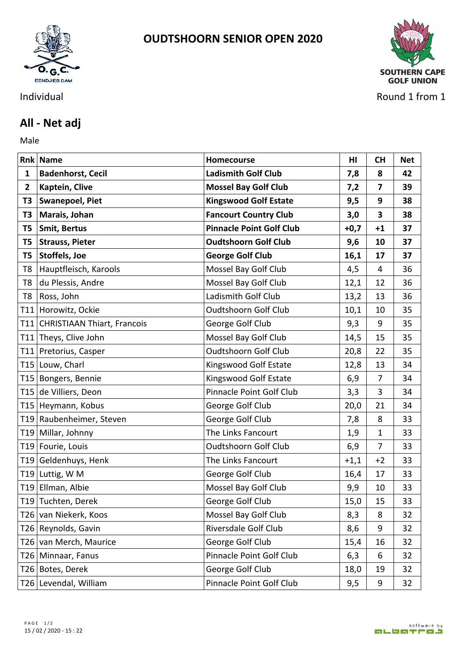

## **OUDTSHOORN SENIOR OPEN 2020**



Individual Round 1 from 1

## **All - Net adj**

Male **Male** 

|                | <b>Rnk Name</b>                    | Homecourse                      | HI     | <b>CH</b>   | <b>Net</b> |
|----------------|------------------------------------|---------------------------------|--------|-------------|------------|
| 1              | <b>Badenhorst, Cecil</b>           | <b>Ladismith Golf Club</b>      | 7,8    | 8           | 42         |
| $\mathbf{2}$   | Kaptein, Clive                     | <b>Mossel Bay Golf Club</b>     | 7,2    | 7           | 39         |
| T3             | <b>Swanepoel, Piet</b>             | <b>Kingswood Golf Estate</b>    | 9,5    | 9           | 38         |
| T3             | Marais, Johan                      | <b>Fancourt Country Club</b>    | 3,0    | 3           | 38         |
| T <sub>5</sub> | <b>Smit, Bertus</b>                | <b>Pinnacle Point Golf Club</b> | $+0,7$ | $+1$        | 37         |
| T <sub>5</sub> | <b>Strauss, Pieter</b>             | <b>Oudtshoorn Golf Club</b>     | 9,6    | 10          | 37         |
| T5             | Stoffels, Joe                      | <b>George Golf Club</b>         | 16,1   | 17          | 37         |
| T8             | Hauptfleisch, Karools              | Mossel Bay Golf Club            | 4,5    | 4           | 36         |
| T8             | du Plessis, Andre                  | Mossel Bay Golf Club            | 12,1   | 12          | 36         |
| T <sub>8</sub> | Ross, John                         | Ladismith Golf Club             | 13,2   | 13          | 36         |
| T11            | Horowitz, Ockie                    | Oudtshoorn Golf Club            | 10,1   | 10          | 35         |
| T11            | <b>CHRISTIAAN Thiart, Francois</b> | George Golf Club                | 9,3    | 9           | 35         |
|                | T11 Theys, Clive John              | Mossel Bay Golf Club            | 14,5   | 15          | 35         |
|                | T11 Pretorius, Casper              | <b>Oudtshoorn Golf Club</b>     | 20,8   | 22          | 35         |
|                | T15 Louw, Charl                    | Kingswood Golf Estate           | 12,8   | 13          | 34         |
|                | T15 Bongers, Bennie                | Kingswood Golf Estate           | 6,9    | 7           | 34         |
| T15            | de Villiers, Deon                  | Pinnacle Point Golf Club        | 3,3    | 3           | 34         |
|                | T15 Heymann, Kobus                 | George Golf Club                | 20,0   | 21          | 34         |
|                | T19 Raubenheimer, Steven           | George Golf Club                | 7,8    | 8           | 33         |
|                | T19 Millar, Johnny                 | The Links Fancourt              | 1,9    | $\mathbf 1$ | 33         |
|                | T19 Fourie, Louis                  | <b>Oudtshoorn Golf Club</b>     | 6,9    | 7           | 33         |
|                | T19 Geldenhuys, Henk               | The Links Fancourt              | $+1,1$ | $+2$        | 33         |
|                | T19 Luttig, W M                    | George Golf Club                | 16,4   | 17          | 33         |
|                | T19 Ellman, Albie                  | Mossel Bay Golf Club            | 9,9    | 10          | 33         |
|                | T19 Tuchten, Derek                 | George Golf Club                | 15,0   | 15          | 33         |
|                | T26 van Niekerk, Koos              | Mossel Bay Golf Club            | 8,3    | 8           | 32         |
|                | T26 Reynolds, Gavin                | Riversdale Golf Club            | 8,6    | 9           | 32         |
|                | T26 van Merch, Maurice             | George Golf Club                | 15,4   | 16          | 32         |
|                | T26   Minnaar, Fanus               | Pinnacle Point Golf Club        | 6,3    | 6           | 32         |
|                | T26 Botes, Derek                   | George Golf Club                | 18,0   | 19          | 32         |
|                | T26 Levendal, William              | Pinnacle Point Golf Club        | 9,5    | 9           | 32         |